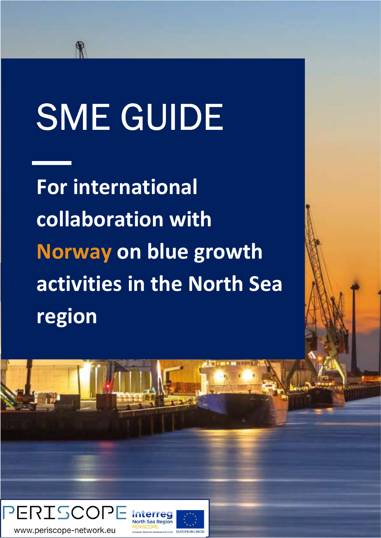# SME GUIDE

For international collaboration with Norway on blue growth activities in the North Sea region

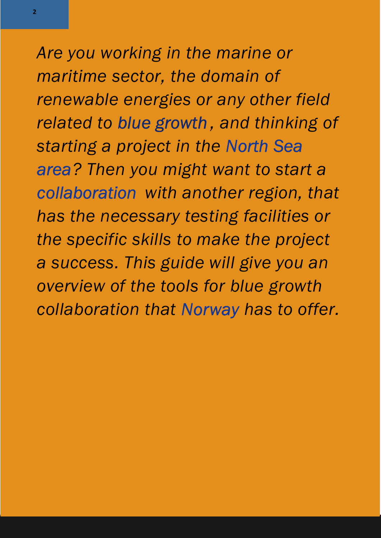Are you working in the marine or maritime sector, the domain of renewable energies or any other field related to blue growth , and thinking of starting a project in the North Sea area? Then you might want to start a collaboration with another region, that has the necessary testing facilities or the specific skills to make the project a success. This guide will give you an overview of the tools for blue growth collaboration that Norway has to offer.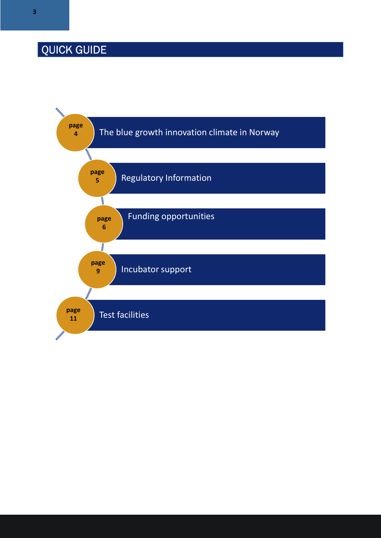## QUICK GUIDE

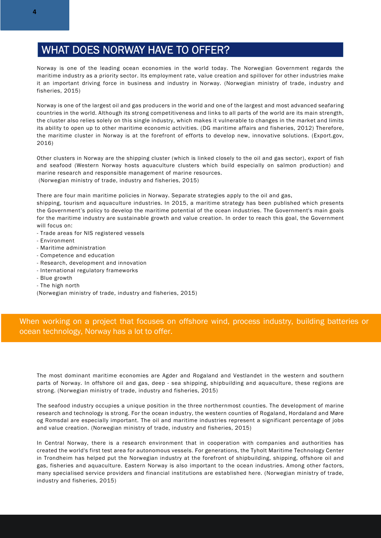#### WHAT DOES NORWAY HAVE TO OFFER?

Norway is one of the leading ocean economies in the world today. The Norwegian Government regards the maritime industry as a priority sector. Its employment rate, value creation and spillover for other industries make it an important driving force in business and industry in Norway. (Norwegian ministry of trade, industry and fisheries, 2015)

Norway is one of the largest oil and gas producers in the world and one of the largest and most advanced seafaring countries in the world. Although its strong competitiveness and links to all parts of the world are its main strength, the cluster also relies solely on this single industry, which makes it vulnerable to changes in the market and limits its ability to open up to other maritime economic activities. (DG maritime affairs and fisheries, 2012) Therefore, the maritime cluster in Norway is at the forefront of efforts to develop new, innovative solutions. (Export.gov, 2016)

Other clusters in Norway are the shipping cluster (which is linked closely to the oil and gas sector), export of fish and seafood (Western Norway hosts aquaculture clusters which build especially on salmon production) and marine research and responsible management of marine resources. (Norwegian ministry of trade, industry and fisheries, 2015)

There are four main maritime policies in Norway. Separate strategies apply to the oil and gas,

shipping, tourism and aquaculture industries. In 2015, a maritime strategy has been published which presents the Government's policy to develop the maritime potential of the ocean industries. The Government's main goals for the maritime industry are sustainable growth and value creation. In order to reach this goal, the Government will focus on:

- Trade areas for NIS registered vessels
- Environment
- Maritime administration
- Competence and education
- Research, development and innovation
- International regulatory frameworks
- Blue growth
- The high north

(Norwegian ministry of trade, industry and fisheries, 2015)

When working on a project that focuses on offshore wind, process industry, building batteries or ocean technology, Norway has a lot to offer.

The most dominant maritime economies are Agder and Rogaland and Vestlandet in the western and southern parts of Norway. In offshore oil and gas, deep - sea shipping, shipbuilding and aquaculture, these regions are strong. (Norwegian ministry of trade, industry and fisheries, 2015)

The seafood industry occupies a unique position in the three northernmost counties. The development of marine research and technology is strong. For the ocean industry, the western counties of Rogaland, Hordaland and Møre og Romsdal are especially important. The oil and maritime industries represent a significant percentage of jobs and value creation. (Norwegian ministry of trade, industry and fisheries, 2015)

In Central Norway, there is a research environment that in cooperation with companies and authorities has created the world's first test area for autonomous vessels. For generations, the Tyholt Maritime Technology Center in Trondheim has helped put the Norwegian industry at the forefront of shipbuilding, shipping, offshore oil and gas, fisheries and aquaculture. Eastern Norway is also important to the ocean industries. Among other factors, many specialised service providers and financial institutions are established here. (Norwegian ministry of trade, industry and fisheries, 2015)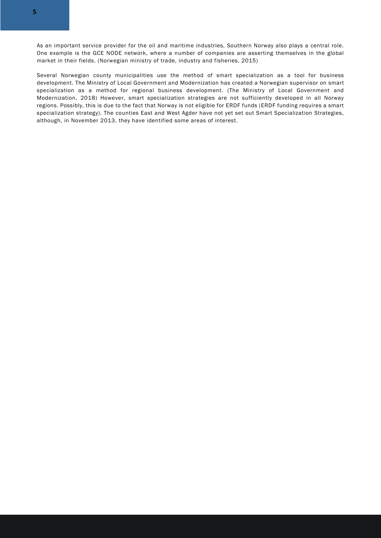As an important service provider for the oil and maritime industries, Southern Norway also plays a central role. One example is the GCE NODE network, where a number of companies are asserting themselves in the global market in their fields. (Norwegian ministry of trade, industry and fisheries, 2015)

Several Norwegian county municipalities use the method of smart specialization as a tool for business development. The Ministry of Local Government and Modernization has created a Norwegian supervisor on smart specialization as a method for regional business development. (The Ministry of Local Government and Modernization, 2018) However, smart specialization strategies are not sufficiently developed in all Norway regions. Possibly, this is due to the fact that Norway is not eligible for ERDF funds (ERDF funding requires a smart specialization strategy). The counties East and West Agder have not yet set out Smart Specialization Strategies, although, in November 2013, they have identified some areas of interest.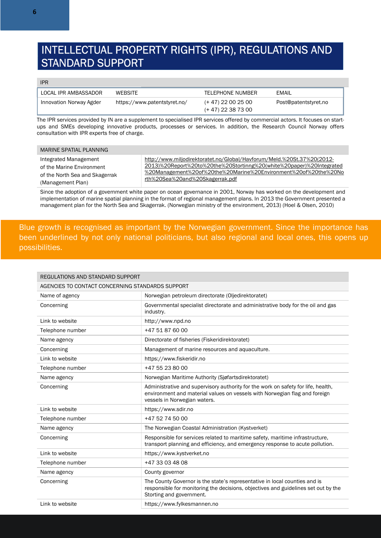#### INTELLECTUAL PROPERTY RIGHTS (IPR), REGULATIONS AND STANDARD SUPPORT

#### IPR

| LOCAL IPR AMBASSADOR    | WEBSITE                      | TELEPHONE NUMBER     | EMAIL                |
|-------------------------|------------------------------|----------------------|----------------------|
| Innovation Norway Agder | https://www.patentstyret.no/ | (+ 47) 22 00 25 00   | Post@patentstyret.no |
|                         |                              | $(+ 47)$ 22 38 73 00 |                      |

The IPR services provided by IN are a supplement to specialised IPR services offered by commercial actors. It focuses on startups and SMEs developing innovative products, processes or services. In addition, the Research Council Norway offers consultation with IPR experts free of charge.

| MARINE SPATIAL PLANNING        |                                                                        |
|--------------------------------|------------------------------------------------------------------------|
| Integrated Management          | http://www.miljodirektoratet.no/Global/Havforum/Meld.%20St.37%20(2012- |
| of the Marine Environment      | 2013)%20Report%20to%20the%20Stortinng%20(white%20paper)%20Integrated   |
| of the North Sea and Skagerrak | %20Management%20of%20the%20Marine%20Environment%20of%20the%20No        |
| (Management Plan)              | rth%20Sea%20and%20Skagerrak.pdf                                        |

Since the adoption of a government white paper on ocean governance in 2001, Norway has worked on the development and implementation of marine spatial planning in the format of regional management plans. In 2013 the Government presented a management plan for the North Sea and Skagerrak. (Norwegian ministry of the environment, 2013) (Hoel & Olsen, 2010)

Blue growth is recognised as important by the Norwegian government. Since the importance has been underlined by not only national politicians, but also regional and local ones, this opens up possibilities.

| REGULATIONS AND STANDARD SUPPORT                 |                                                                                                                                                                                                 |  |
|--------------------------------------------------|-------------------------------------------------------------------------------------------------------------------------------------------------------------------------------------------------|--|
| AGENCIES TO CONTACT CONCERNING STANDARDS SUPPORT |                                                                                                                                                                                                 |  |
| Name of agency                                   | Norwegian petroleum directorate (Oliedirektoratet)                                                                                                                                              |  |
| Concerning                                       | Governmental specialist directorate and administrative body for the oil and gas<br>industry.                                                                                                    |  |
| Link to website                                  | http://www.npd.no                                                                                                                                                                               |  |
| Telephone number                                 | +47 51 87 60 00                                                                                                                                                                                 |  |
| Name agency                                      | Directorate of fisheries (Fiskeridirektoratet)                                                                                                                                                  |  |
| Concerning                                       | Management of marine resources and aquaculture.                                                                                                                                                 |  |
| Link to website                                  | https://www.fiskeridir.no                                                                                                                                                                       |  |
| Telephone number                                 | +47 55 23 80 00                                                                                                                                                                                 |  |
| Name agency                                      | Norwegian Maritime Authority (Sjøfartsdirektoratet)                                                                                                                                             |  |
| Concerning                                       | Administrative and supervisory authority for the work on safety for life, health,<br>environment and material values on vessels with Norwegian flag and foreign<br>vessels in Norwegian waters. |  |
| Link to website                                  | https://www.sdir.no                                                                                                                                                                             |  |
| Telephone number                                 | +47 52 74 50 00                                                                                                                                                                                 |  |
| Name agency                                      | The Norwegian Coastal Administration (Kystverket)                                                                                                                                               |  |
| Concerning                                       | Responsible for services related to maritime safety, maritime infrastructure,<br>transport planning and efficiency, and emergency response to acute pollution.                                  |  |
| Link to website                                  | https://www.kystverket.no                                                                                                                                                                       |  |
| Telephone number                                 | +47 33 03 48 08                                                                                                                                                                                 |  |
| Name agency                                      | County governor                                                                                                                                                                                 |  |
| Concerning                                       | The County Governor is the state's representative in local counties and is<br>responsible for monitoring the decisions, objectives and guidelines set out by the<br>Storting and government.    |  |
| Link to website                                  | https://www.fylkesmannen.no                                                                                                                                                                     |  |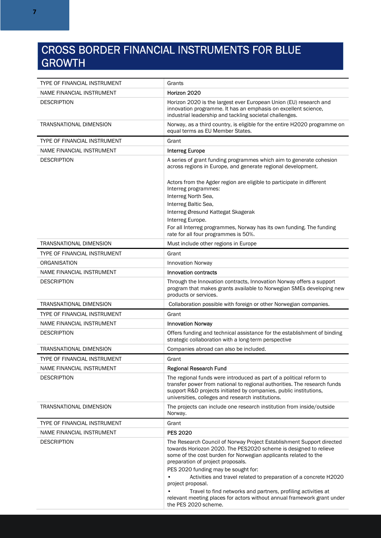#### CROSS BORDER FINANCIAL INSTRUMENTS FOR BLUE GROWTH

| TYPE OF FINANCIAL INSTRUMENT   | Grants                                                                                                                                                                                                                                                                                   |  |
|--------------------------------|------------------------------------------------------------------------------------------------------------------------------------------------------------------------------------------------------------------------------------------------------------------------------------------|--|
| NAME FINANCIAL INSTRUMENT      | Horizon 2020                                                                                                                                                                                                                                                                             |  |
| <b>DESCRIPTION</b>             | Horizon 2020 is the largest ever European Union (EU) research and<br>innovation programme. It has an emphasis on excellent science,<br>industrial leadership and tackling societal challenges.                                                                                           |  |
| <b>TRANSNATIONAL DIMENSION</b> | Norway, as a third country, is eligible for the entire H2020 programme on<br>equal terms as EU Member States.                                                                                                                                                                            |  |
| TYPE OF FINANCIAL INSTRUMENT   | Grant                                                                                                                                                                                                                                                                                    |  |
| NAME FINANCIAL INSTRUMENT      | <b>Interreg Europe</b>                                                                                                                                                                                                                                                                   |  |
| <b>DESCRIPTION</b>             | A series of grant funding programmes which aim to generate cohesion<br>across regions in Europe, and generate regional development.                                                                                                                                                      |  |
|                                | Actors from the Agder region are eligible to participate in different<br>Interreg programmes:                                                                                                                                                                                            |  |
|                                | Interreg North Sea,<br>Interreg Baltic Sea,                                                                                                                                                                                                                                              |  |
|                                | Interreg Øresund Kattegat Skagerak                                                                                                                                                                                                                                                       |  |
|                                | Interreg Europe.                                                                                                                                                                                                                                                                         |  |
|                                | For all Interreg programmes, Norway has its own funding. The funding<br>rate for all four programmes is 50%.                                                                                                                                                                             |  |
| <b>TRANSNATIONAL DIMENSION</b> | Must include other regions in Europe                                                                                                                                                                                                                                                     |  |
| TYPE OF FINANCIAL INSTRUMENT   | Grant                                                                                                                                                                                                                                                                                    |  |
| ORGANISATION                   | <b>Innovation Norway</b>                                                                                                                                                                                                                                                                 |  |
| NAME FINANCIAL INSTRUMENT      | <b>Innovation contracts</b>                                                                                                                                                                                                                                                              |  |
| <b>DESCRIPTION</b>             | Through the Innovation contracts, Innovation Norway offers a support<br>program that makes grants available to Norwegian SMEs developing new<br>products or services.                                                                                                                    |  |
| TRANSNATIONAL DIMENSION        | Collaboration possible with foreign or other Norwegian companies.                                                                                                                                                                                                                        |  |
| TYPE OF FINANCIAL INSTRUMENT   | Grant                                                                                                                                                                                                                                                                                    |  |
| NAME FINANCIAL INSTRUMENT      | <b>Innovation Norway</b>                                                                                                                                                                                                                                                                 |  |
| <b>DESCRIPTION</b>             | Offers funding and technical assistance for the establishment of binding<br>strategic collaboration with a long-term perspective                                                                                                                                                         |  |
| TRANSNATIONAL DIMENSION        | Companies abroad can also be included.                                                                                                                                                                                                                                                   |  |
| TYPE OF FINANCIAL INSTRUMENT   | Grant                                                                                                                                                                                                                                                                                    |  |
| NAME FINANCIAL INSTRUMENT      | <b>Regional Research Fund</b>                                                                                                                                                                                                                                                            |  |
| <b>DESCRIPTION</b>             | The regional funds were introduced as part of a political reform to<br>transfer power from national to regional authorities. The research funds<br>support R&D projects initiated by companies, public institutions,<br>universities, colleges and research institutions.                |  |
| TRANSNATIONAL DIMENSION        | The projects can include one research institution from inside/outside<br>Norway.                                                                                                                                                                                                         |  |
| TYPE OF FINANCIAL INSTRUMENT   | Grant                                                                                                                                                                                                                                                                                    |  |
| NAME FINANCIAL INSTRUMENT      | <b>PES 2020</b>                                                                                                                                                                                                                                                                          |  |
| <b>DESCRIPTION</b>             | The Research Council of Norway Project Establishment Support directed<br>towards Horiozon 2020. The PES2020 scheme is designed to relieve<br>some of the cost burden for Norwegian applicants related to the<br>preparation of project proposals.<br>PES 2020 funding may be sought for: |  |
|                                | Activities and travel related to preparation of a concrete H2020<br>project proposal.                                                                                                                                                                                                    |  |
|                                | Travel to find networks and partners, profiling activities at<br>relevant meeting places for actors without annual framework grant under<br>the PES 2020 scheme.                                                                                                                         |  |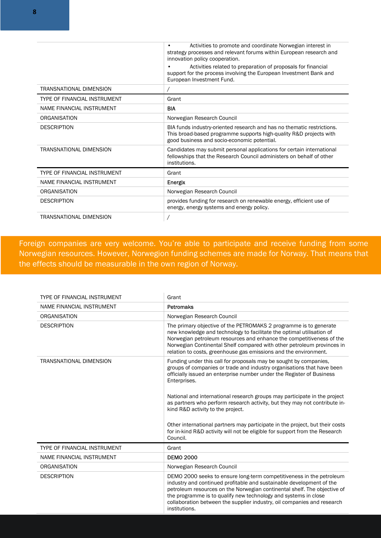|                              | Activities to promote and coordinate Norwegian interest in<br>strategy processes and relevant forums within European research and<br>innovation policy cooperation.<br>Activities related to preparation of proposals for financial |
|------------------------------|-------------------------------------------------------------------------------------------------------------------------------------------------------------------------------------------------------------------------------------|
|                              | support for the process involving the European Investment Bank and<br>European Investment Fund.                                                                                                                                     |
| TRANSNATIONAL DIMENSION      |                                                                                                                                                                                                                                     |
| TYPE OF FINANCIAL INSTRUMENT | Grant                                                                                                                                                                                                                               |
| NAME FINANCIAL INSTRUMENT    | BIA                                                                                                                                                                                                                                 |
| ORGANISATION                 | Norwegian Research Council                                                                                                                                                                                                          |
| <b>DESCRIPTION</b>           | BIA funds industry-oriented research and has no thematic restrictions.<br>This broad-based programme supports high-quality R&D projects with<br>good business and socio-economic potential.                                         |
| TRANSNATIONAL DIMENSION      | Candidates may submit personal applications for certain international<br>fellowships that the Research Council administers on behalf of other<br>institutions.                                                                      |
| TYPE OF FINANCIAL INSTRUMENT | Grant                                                                                                                                                                                                                               |
| NAME FINANCIAL INSTRUMENT    | Energix                                                                                                                                                                                                                             |
| ORGANISATION                 | Norwegian Research Council                                                                                                                                                                                                          |
| <b>DESCRIPTION</b>           | provides funding for research on renewable energy, efficient use of<br>energy, energy systems and energy policy.                                                                                                                    |
| TRANSNATIONAL DIMENSION      |                                                                                                                                                                                                                                     |

Foreign companies are very welcome. You're able to participate and receive funding from some Norwegian resources. However, Norwegion funding schemes are made for Norway. That means that the effects should be measurable in the own region of Norway.

| TYPE OF FINANCIAL INSTRUMENT   | Grant                                                                                                                                                                                                                                                                                                                                                                                   |  |
|--------------------------------|-----------------------------------------------------------------------------------------------------------------------------------------------------------------------------------------------------------------------------------------------------------------------------------------------------------------------------------------------------------------------------------------|--|
| NAME FINANCIAL INSTRUMENT      | <b>Petromaks</b>                                                                                                                                                                                                                                                                                                                                                                        |  |
| ORGANISATION                   | Norwegian Research Council                                                                                                                                                                                                                                                                                                                                                              |  |
| <b>DESCRIPTION</b>             | The primary objective of the PETROMAKS 2 programme is to generate<br>new knowledge and technology to facilitate the optimal utilisation of<br>Norwegian petroleum resources and enhance the competitiveness of the<br>Norwegian Continental Shelf compared with other petroleum provinces in<br>relation to costs, greenhouse gas emissions and the environment.                        |  |
| <b>TRANSNATIONAL DIMENSION</b> | Funding under this call for proposals may be sought by companies,<br>groups of companies or trade and industry organisations that have been<br>officially issued an enterprise number under the Register of Business<br>Enterprises.                                                                                                                                                    |  |
|                                | National and international research groups may participate in the project<br>as partners who perform research activity, but they may not contribute in-<br>kind R&D activity to the project.                                                                                                                                                                                            |  |
|                                | Other international partners may participate in the project, but their costs<br>for in-kind R&D activity will not be eligible for support from the Research<br>Council.                                                                                                                                                                                                                 |  |
| TYPE OF FINANCIAL INSTRUMENT   | Grant                                                                                                                                                                                                                                                                                                                                                                                   |  |
| NAME FINANCIAL INSTRUMENT      | <b>DEMO 2000</b>                                                                                                                                                                                                                                                                                                                                                                        |  |
| ORGANISATION                   | Norwegian Research Council                                                                                                                                                                                                                                                                                                                                                              |  |
| <b>DESCRIPTION</b>             | DEMO 2000 seeks to ensure long-term competitiveness in the petroleum<br>industry and continued profitable and sustainable development of the<br>petroleum resources on the Norwegian continental shelf. The objective of<br>the programme is to qualify new technology and systems in close<br>collaboration between the supplier industry, oil companies and research<br>institutions. |  |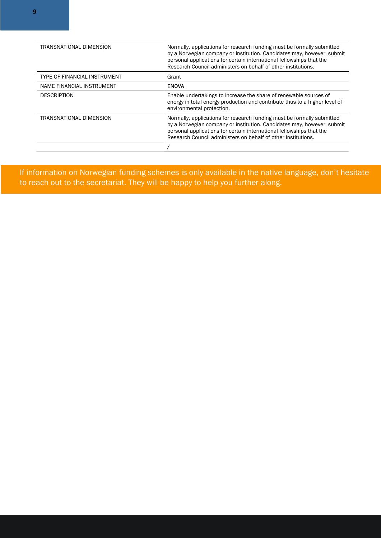| TRANSNATIONAL DIMENSION      | Normally, applications for research funding must be formally submitted<br>by a Norwegian company or institution. Candidates may, however, submit<br>personal applications for certain international fellowships that the<br>Research Council administers on behalf of other institutions. |
|------------------------------|-------------------------------------------------------------------------------------------------------------------------------------------------------------------------------------------------------------------------------------------------------------------------------------------|
| TYPE OF FINANCIAL INSTRUMENT | Grant                                                                                                                                                                                                                                                                                     |
| NAME FINANCIAL INSTRUMENT    | <b>ENOVA</b>                                                                                                                                                                                                                                                                              |
| <b>DESCRIPTION</b>           | Enable undertakings to increase the share of renewable sources of<br>energy in total energy production and contribute thus to a higher level of<br>environmental protection.                                                                                                              |
| TRANSNATIONAL DIMENSION      | Normally, applications for research funding must be formally submitted<br>by a Norwegian company or institution. Candidates may, however, submit<br>personal applications for certain international fellowships that the<br>Research Council administers on behalf of other institutions. |
|                              |                                                                                                                                                                                                                                                                                           |

 If information on Norwegian funding schemes is only available in the native language, don't hesitate to reach out to the secretariat. They will be happy to help you further along.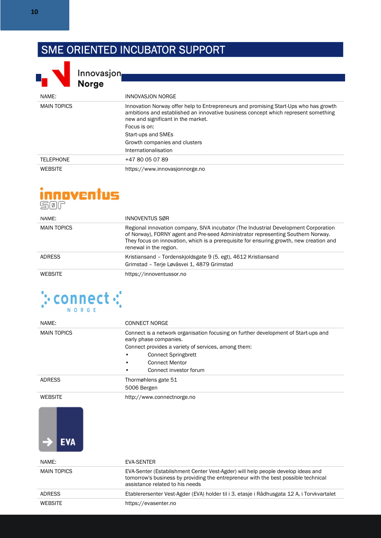### SME ORIENTED INCUBATOR SUPPORT



Innovasjon<br>Norge

| <b>INDIAA</b>      |                                                                                                                                                                                                                                  |
|--------------------|----------------------------------------------------------------------------------------------------------------------------------------------------------------------------------------------------------------------------------|
| NAME:              | INNOVASJON NORGE                                                                                                                                                                                                                 |
| <b>MAIN TOPICS</b> | Innovation Norway offer help to Entrepreneurs and promising Start-Ups who has growth<br>ambitions and established an innovative business concept which represent something<br>new and significant in the market.<br>Focus is on: |
|                    | Start-ups and SMEs                                                                                                                                                                                                               |
|                    | Growth companies and clusters                                                                                                                                                                                                    |
|                    | Internationalisation                                                                                                                                                                                                             |
| <b>TELEPHONE</b>   | +47 80 05 07 89                                                                                                                                                                                                                  |
| <b>WEBSITE</b>     | https://www.innovasjonnorge.no                                                                                                                                                                                                   |

## innoventus

| NAME:              | INNOVENTUS SØR                                                                                                                                                                                                                                                                               |
|--------------------|----------------------------------------------------------------------------------------------------------------------------------------------------------------------------------------------------------------------------------------------------------------------------------------------|
| <b>MAIN TOPICS</b> | Regional innovation company, SIVA incubator (The Industrial Development Corporation<br>of Norway), FORNY agent and Pre-seed Administrator representing Southern Norway.<br>They focus on innovation, which is a prerequisite for ensuring growth, new creation and<br>renewal in the region. |
| <b>ADRESS</b>      | Kristiansand – Tordenskjoldsgate 9 (5. egt), 4612 Kristiansand<br>Grimstad - Terje Løvåsvei 1, 4879 Grimstad                                                                                                                                                                                 |
| <b>WEBSITE</b>     | https://innoventussor.no                                                                                                                                                                                                                                                                     |



| NAME:              | <b>CONNECT NORGE</b>                                                                                                                                                                                     |  |
|--------------------|----------------------------------------------------------------------------------------------------------------------------------------------------------------------------------------------------------|--|
| <b>MAIN TOPICS</b> | Connect is a network organisation focusing on further development of Start-ups and<br>early phase companies.                                                                                             |  |
|                    | Connect provides a variety of services, among them:                                                                                                                                                      |  |
|                    | <b>Connect Springbrett</b>                                                                                                                                                                               |  |
|                    | <b>Connect Mentor</b>                                                                                                                                                                                    |  |
|                    | Connect investor forum                                                                                                                                                                                   |  |
| <b>ADRESS</b>      | Thormøhlens gate 51                                                                                                                                                                                      |  |
|                    | 5006 Bergen                                                                                                                                                                                              |  |
| <b>WEBSITE</b>     | http://www.connectnorge.no                                                                                                                                                                               |  |
| EVA                |                                                                                                                                                                                                          |  |
| NAME:              | <b>EVA-SENTER</b>                                                                                                                                                                                        |  |
| <b>MAIN TOPICS</b> | EVA-Senter (Establishment Center Vest-Agder) will help people develop ideas and<br>tomorrow's business by providing the entrepreneur with the best possible technical<br>assistance related to his needs |  |
| <b>ADRESS</b>      | Etablerersenter Vest-Agder (EVA) holder til i 3. etasje i Rådhusgata 12 A, i Torvkvartalet                                                                                                               |  |
| <b>WEBSITE</b>     | https://evasenter.no                                                                                                                                                                                     |  |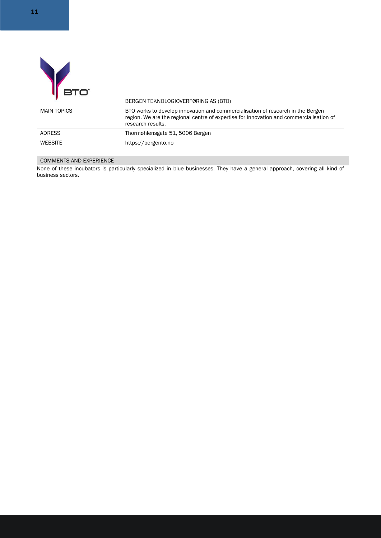|                    | BERGEN TEKNOLOGIOVERFØRING AS (BTO)                                                                                                                                                             |
|--------------------|-------------------------------------------------------------------------------------------------------------------------------------------------------------------------------------------------|
| <b>MAIN TOPICS</b> | BTO works to develop innovation and commercialisation of research in the Bergen<br>region. We are the regional centre of expertise for innovation and commercialisation of<br>research results. |
| <b>ADRESS</b>      | Thormøhlensgate 51, 5006 Bergen                                                                                                                                                                 |
| <b>WEBSITE</b>     | https://bergento.no                                                                                                                                                                             |

#### COMMENTS AND EXPERIENCE

None of these incubators is particularly specialized in blue businesses. They have a general approach, covering all kind of business sectors.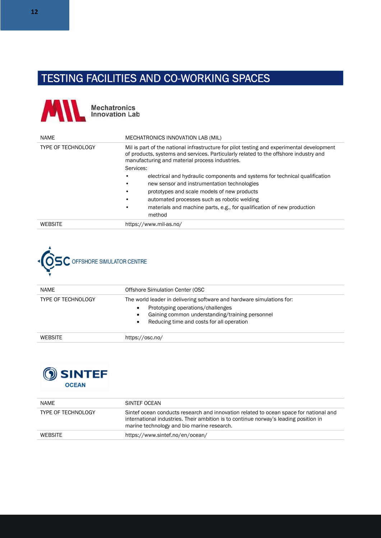#### TESTING FACILITIES AND CO-WORKING SPACES



| <b>NAME</b>               | MECHATRONICS INNOVATION LAB (MIL)                                                                                                                                                                                                   |                                                                             |  |
|---------------------------|-------------------------------------------------------------------------------------------------------------------------------------------------------------------------------------------------------------------------------------|-----------------------------------------------------------------------------|--|
| <b>TYPE OF TECHNOLOGY</b> | Mil is part of the national infrastructure for pilot testing and experimental development<br>of products, systems and services. Particularly related to the offshore industry and<br>manufacturing and material process industries. |                                                                             |  |
|                           | Services:                                                                                                                                                                                                                           |                                                                             |  |
|                           |                                                                                                                                                                                                                                     | electrical and hydraulic components and systems for technical qualification |  |
|                           |                                                                                                                                                                                                                                     | new sensor and instrumentation technologies                                 |  |
|                           |                                                                                                                                                                                                                                     | prototypes and scale models of new products                                 |  |
|                           | ٠                                                                                                                                                                                                                                   | automated processes such as robotic welding                                 |  |
|                           | ٠<br>method                                                                                                                                                                                                                         | materials and machine parts, e.g., for qualification of new production      |  |
| <b>WEBSITE</b>            | https://www.mil-as.no/                                                                                                                                                                                                              |                                                                             |  |



| NAME                      | Offshore Simulation Center (OSC                                                                                                                                                                                                   |
|---------------------------|-----------------------------------------------------------------------------------------------------------------------------------------------------------------------------------------------------------------------------------|
| <b>TYPE OF TECHNOLOGY</b> | The world leader in delivering software and hardware simulations for:<br>Prototyping operations/challenges<br>٠<br>Gaining common understanding/training personnel<br>٠<br>Reducing time and costs for all operation<br>$\bullet$ |
| <b>WEBSITE</b>            | https://osc.no/                                                                                                                                                                                                                   |



| NAME                      | SINTEF OCEAN                                                                                                                                                                                                                |
|---------------------------|-----------------------------------------------------------------------------------------------------------------------------------------------------------------------------------------------------------------------------|
| <b>TYPE OF TECHNOLOGY</b> | Sintef ocean conducts research and innovation related to ocean space for national and<br>international industries. Their ambition is to continue norway's leading position in<br>marine technology and bio marine research. |
| <b>WEBSITE</b>            | https://www.sintef.no/en/ocean/                                                                                                                                                                                             |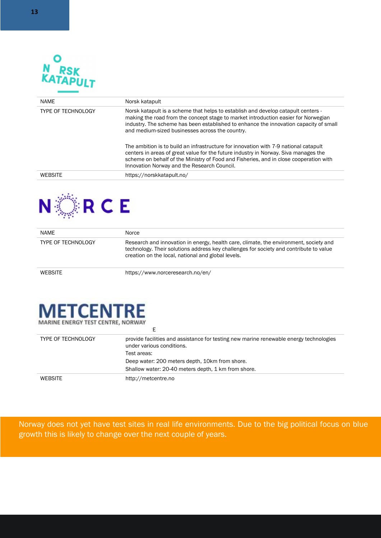

| <b>NAME</b>               | Norsk katapult                                                                                                                                                                                                                                                                                                      |
|---------------------------|---------------------------------------------------------------------------------------------------------------------------------------------------------------------------------------------------------------------------------------------------------------------------------------------------------------------|
| <b>TYPE OF TECHNOLOGY</b> | Norsk katapult is a scheme that helps to establish and develop catapult centers -<br>making the road from the concept stage to market introduction easier for Norwegian<br>industry. The scheme has been established to enhance the innovation capacity of small<br>and medium-sized businesses across the country. |
|                           | The ambition is to build an infrastructure for innovation with 7-9 national catapult<br>centers in areas of great value for the future industry in Norway. Siva manages the<br>scheme on behalf of the Ministry of Food and Fisheries, and in close cooperation with<br>Innovation Norway and the Research Council. |
| <b>WEBSITE</b>            | https://norskkatapult.no/                                                                                                                                                                                                                                                                                           |



| <b>NAME</b>               | <b>Norce</b>                                                                                                                                                                                                                          |
|---------------------------|---------------------------------------------------------------------------------------------------------------------------------------------------------------------------------------------------------------------------------------|
| <b>TYPE OF TECHNOLOGY</b> | Research and innovation in energy, health care, climate, the environment, society and<br>technology. Their solutions address key challenges for society and contribute to value<br>creation on the local, national and global levels. |
| <b>WEBSITE</b>            | https://www.norceresearch.no/en/                                                                                                                                                                                                      |



| .                         |                                                                                                                     |
|---------------------------|---------------------------------------------------------------------------------------------------------------------|
| <b>TYPE OF TECHNOLOGY</b> | provide facilities and assistance for testing new marine renewable energy technologies<br>under various conditions. |
|                           | Test areas:                                                                                                         |
|                           | Deep water: 200 meters depth, 10km from shore.                                                                      |
|                           | Shallow water: 20-40 meters depth, 1 km from shore.                                                                 |
| <b>WEBSITE</b>            | http://metcentre.no                                                                                                 |

Norway does not yet have test sites in real life environments. Due to the big political focus on blue growth this is likely to change over the next couple of years.